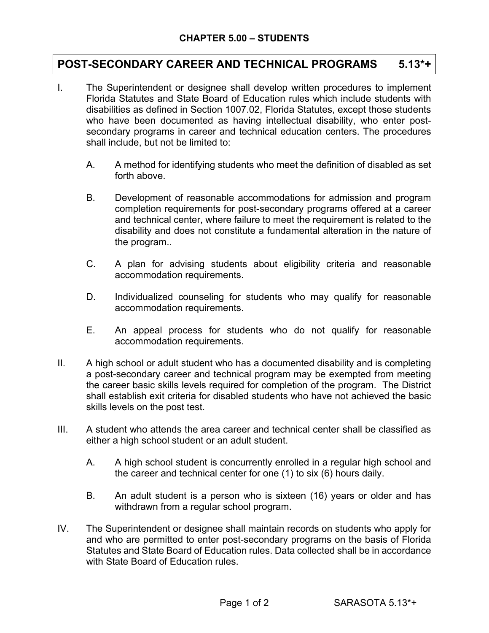## **POST-SECONDARY CAREER AND TECHNICAL PROGRAMS 5.13\*+**

- I. The Superintendent or designee shall develop written procedures to implement Florida Statutes and State Board of Education rules which include students with disabilities as defined in Section 1007.02, Florida Statutes, except those students who have been documented as having intellectual disability, who enter postsecondary programs in career and technical education centers. The procedures shall include, but not be limited to:
	- A. A method for identifying students who meet the definition of disabled as set forth above.
	- B. Development of reasonable accommodations for admission and program completion requirements for post-secondary programs offered at a career and technical center, where failure to meet the requirement is related to the disability and does not constitute a fundamental alteration in the nature of the program..
	- C. A plan for advising students about eligibility criteria and reasonable accommodation requirements.
	- D. Individualized counseling for students who may qualify for reasonable accommodation requirements.
	- E. An appeal process for students who do not qualify for reasonable accommodation requirements.
- II. A high school or adult student who has a documented disability and is completing a post-secondary career and technical program may be exempted from meeting the career basic skills levels required for completion of the program. The District shall establish exit criteria for disabled students who have not achieved the basic skills levels on the post test.
- III. A student who attends the area career and technical center shall be classified as either a high school student or an adult student.
	- A. A high school student is concurrently enrolled in a regular high school and the career and technical center for one (1) to six (6) hours daily.
	- B. An adult student is a person who is sixteen (16) years or older and has withdrawn from a regular school program.
- IV. The Superintendent or designee shall maintain records on students who apply for and who are permitted to enter post-secondary programs on the basis of Florida Statutes and State Board of Education rules. Data collected shall be in accordance with State Board of Education rules.